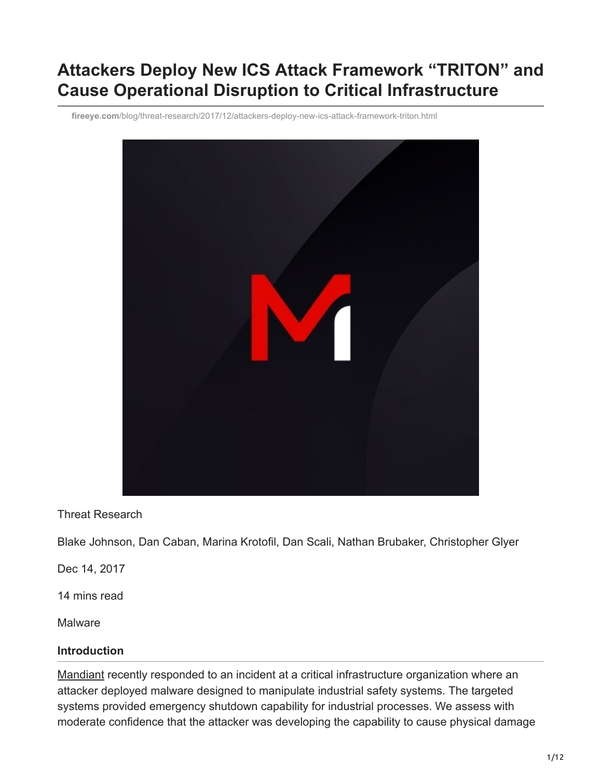# **Attackers Deploy New ICS Attack Framework "TRITON" and Cause Operational Disruption to Critical Infrastructure**

**fireeye.com**[/blog/threat-research/2017/12/attackers-deploy-new-ics-attack-framework-triton.html](https://www.fireeye.com/blog/threat-research/2017/12/attackers-deploy-new-ics-attack-framework-triton.html)



Threat Research

Blake Johnson, Dan Caban, Marina Krotofil, Dan Scali, Nathan Brubaker, Christopher Glyer

Dec 14, 2017

14 mins read

**Malware** 

#### **Introduction**

[Mandiant](https://www.fireeye.com/advantage) recently responded to an incident at a critical infrastructure organization where an attacker deployed malware designed to manipulate industrial safety systems. The targeted systems provided emergency shutdown capability for industrial processes. We assess with moderate confidence that the attacker was developing the capability to cause physical damage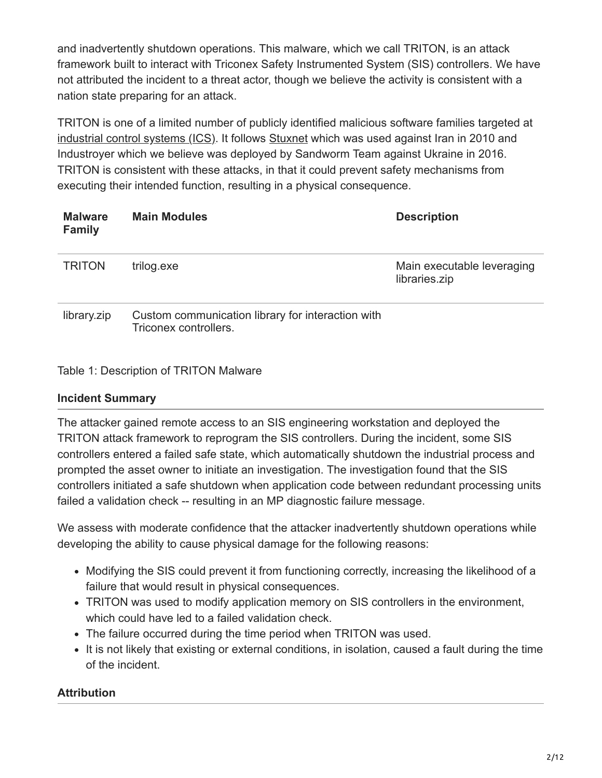and inadvertently shutdown operations. This malware, which we call TRITON, is an attack framework built to interact with Triconex Safety Instrumented System (SIS) controllers. We have not attributed the incident to a threat actor, though we believe the activity is consistent with a nation state preparing for an attack.

TRITON is one of a limited number of publicly identified malicious software families targeted at [industrial control systems \(ICS\)](https://www.mandiant.com/services/industrial-control-systems-healthcheck). It follows [Stuxnet](https://www.mandiant.com/resources/fireeye-reveals-rise-in-advanced-threat-activities-by-iranian-linked-ajax-security) which was used against Iran in 2010 and Industroyer which we believe was deployed by Sandworm Team against Ukraine in 2016. TRITON is consistent with these attacks, in that it could prevent safety mechanisms from executing their intended function, resulting in a physical consequence.

| <b>Malware</b><br><b>Family</b> | <b>Main Modules</b>                                                        | <b>Description</b>                          |
|---------------------------------|----------------------------------------------------------------------------|---------------------------------------------|
| <b>TRITON</b>                   | trilog.exe                                                                 | Main executable leveraging<br>libraries.zip |
| library.zip                     | Custom communication library for interaction with<br>Triconex controllers. |                                             |

#### Table 1: Description of TRITON Malware

#### **Incident Summary**

The attacker gained remote access to an SIS engineering workstation and deployed the TRITON attack framework to reprogram the SIS controllers. During the incident, some SIS controllers entered a failed safe state, which automatically shutdown the industrial process and prompted the asset owner to initiate an investigation. The investigation found that the SIS controllers initiated a safe shutdown when application code between redundant processing units failed a validation check -- resulting in an MP diagnostic failure message.

We assess with moderate confidence that the attacker inadvertently shutdown operations while developing the ability to cause physical damage for the following reasons:

- Modifying the SIS could prevent it from functioning correctly, increasing the likelihood of a failure that would result in physical consequences.
- TRITON was used to modify application memory on SIS controllers in the environment, which could have led to a failed validation check.
- The failure occurred during the time period when TRITON was used.
- It is not likely that existing or external conditions, in isolation, caused a fault during the time of the incident.

#### **Attribution**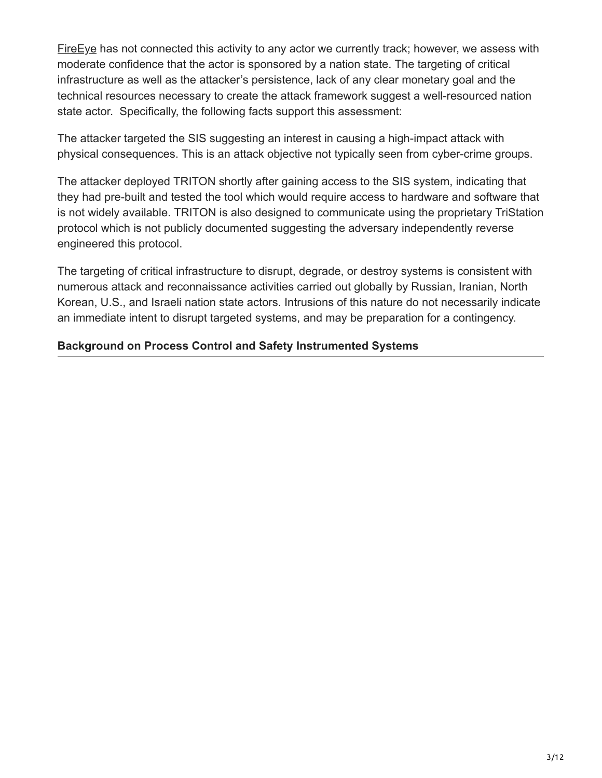Fire Eye has not connected this activity to any actor we currently track; however, we assess with moderate confidence that the actor is sponsored by a nation state. The targeting of critical infrastructure as well as the attacker's persistence, lack of any clear monetary goal and the technical resources necessary to create the attack framework suggest a well-resourced nation state actor. Specifically, the following facts support this assessment:

The attacker targeted the SIS suggesting an interest in causing a high-impact attack with physical consequences. This is an attack objective not typically seen from cyber-crime groups.

The attacker deployed TRITON shortly after gaining access to the SIS system, indicating that they had pre-built and tested the tool which would require access to hardware and software that is not widely available. TRITON is also designed to communicate using the proprietary TriStation protocol which is not publicly documented suggesting the adversary independently reverse engineered this protocol.

The targeting of critical infrastructure to disrupt, degrade, or destroy systems is consistent with numerous attack and reconnaissance activities carried out globally by Russian, Iranian, North Korean, U.S., and Israeli nation state actors. Intrusions of this nature do not necessarily indicate an immediate intent to disrupt targeted systems, and may be preparation for a contingency.

## **Background on Process Control and Safety Instrumented Systems**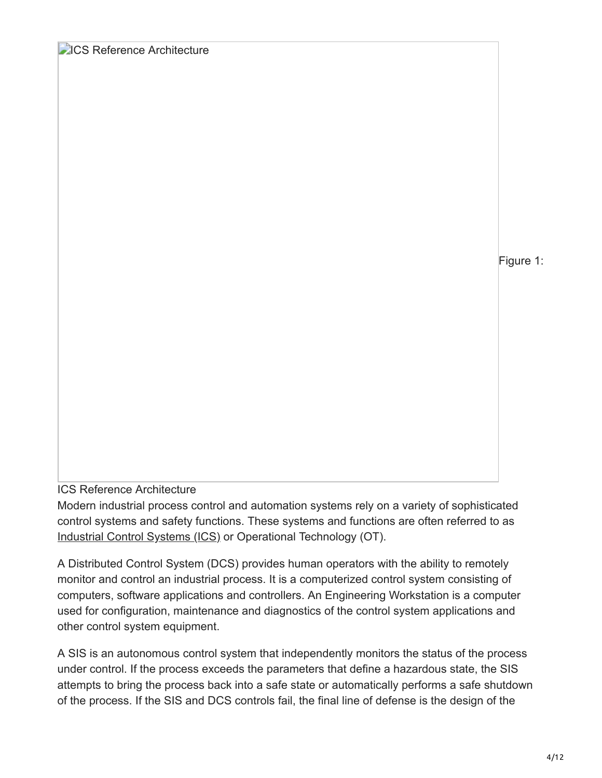## **DICS Reference Architecture**

Figure 1:

#### ICS Reference Architecture

Modern industrial process control and automation systems rely on a variety of sophisticated control systems and safety functions. These systems and functions are often referred to as [Industrial Control Systems \(ICS\)](https://www.fireeye.com/products/industrial-systems-and-critical-infrastructure-security.html) or Operational Technology (OT).

A Distributed Control System (DCS) provides human operators with the ability to remotely monitor and control an industrial process. It is a computerized control system consisting of computers, software applications and controllers. An Engineering Workstation is a computer used for configuration, maintenance and diagnostics of the control system applications and other control system equipment.

A SIS is an autonomous control system that independently monitors the status of the process under control. If the process exceeds the parameters that define a hazardous state, the SIS attempts to bring the process back into a safe state or automatically performs a safe shutdown of the process. If the SIS and DCS controls fail, the final line of defense is the design of the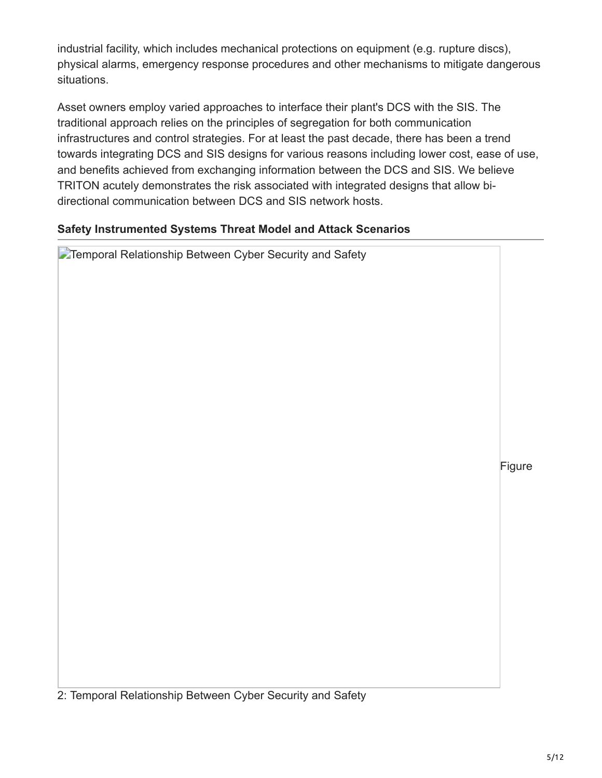industrial facility, which includes mechanical protections on equipment (e.g. rupture discs), physical alarms, emergency response procedures and other mechanisms to mitigate dangerous situations.

Asset owners employ varied approaches to interface their plant's DCS with the SIS. The traditional approach relies on the principles of segregation for both communication infrastructures and control strategies. For at least the past decade, there has been a trend towards integrating DCS and SIS designs for various reasons including lower cost, ease of use, and benefits achieved from exchanging information between the DCS and SIS. We believe TRITON acutely demonstrates the risk associated with integrated designs that allow bidirectional communication between DCS and SIS network hosts.

## **Safety Instrumented Systems Threat Model and Attack Scenarios**

| <b>Temporal Relationship Between Cyber Security and Safety</b> |        |
|----------------------------------------------------------------|--------|
|                                                                |        |
|                                                                | Figure |
|                                                                |        |
|                                                                |        |
|                                                                |        |

2: Temporal Relationship Between Cyber Security and Safety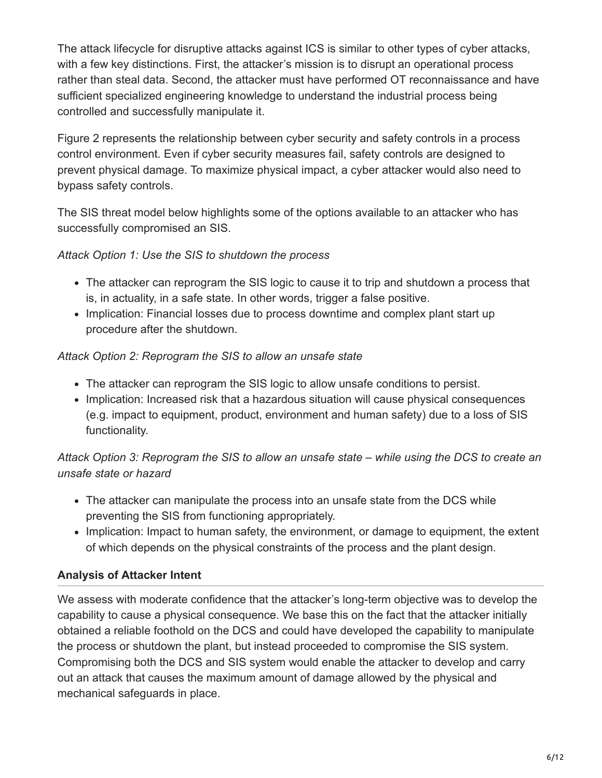The attack lifecycle for disruptive attacks against ICS is similar to other types of cyber attacks, with a few key distinctions. First, the attacker's mission is to disrupt an operational process rather than steal data. Second, the attacker must have performed OT reconnaissance and have sufficient specialized engineering knowledge to understand the industrial process being controlled and successfully manipulate it.

Figure 2 represents the relationship between cyber security and safety controls in a process control environment. Even if cyber security measures fail, safety controls are designed to prevent physical damage. To maximize physical impact, a cyber attacker would also need to bypass safety controls.

The SIS threat model below highlights some of the options available to an attacker who has successfully compromised an SIS.

## *Attack Option 1: Use the SIS to shutdown the process*

- The attacker can reprogram the SIS logic to cause it to trip and shutdown a process that is, in actuality, in a safe state. In other words, trigger a false positive.
- Implication: Financial losses due to process downtime and complex plant start up procedure after the shutdown.

### *Attack Option 2: Reprogram the SIS to allow an unsafe state*

- The attacker can reprogram the SIS logic to allow unsafe conditions to persist.
- Implication: Increased risk that a hazardous situation will cause physical consequences (e.g. impact to equipment, product, environment and human safety) due to a loss of SIS functionality.

## *Attack Option 3: Reprogram the SIS to allow an unsafe state – while using the DCS to create an unsafe state or hazard*

- The attacker can manipulate the process into an unsafe state from the DCS while preventing the SIS from functioning appropriately.
- Implication: Impact to human safety, the environment, or damage to equipment, the extent of which depends on the physical constraints of the process and the plant design.

## **Analysis of Attacker Intent**

We assess with moderate confidence that the attacker's long-term objective was to develop the capability to cause a physical consequence. We base this on the fact that the attacker initially obtained a reliable foothold on the DCS and could have developed the capability to manipulate the process or shutdown the plant, but instead proceeded to compromise the SIS system. Compromising both the DCS and SIS system would enable the attacker to develop and carry out an attack that causes the maximum amount of damage allowed by the physical and mechanical safeguards in place.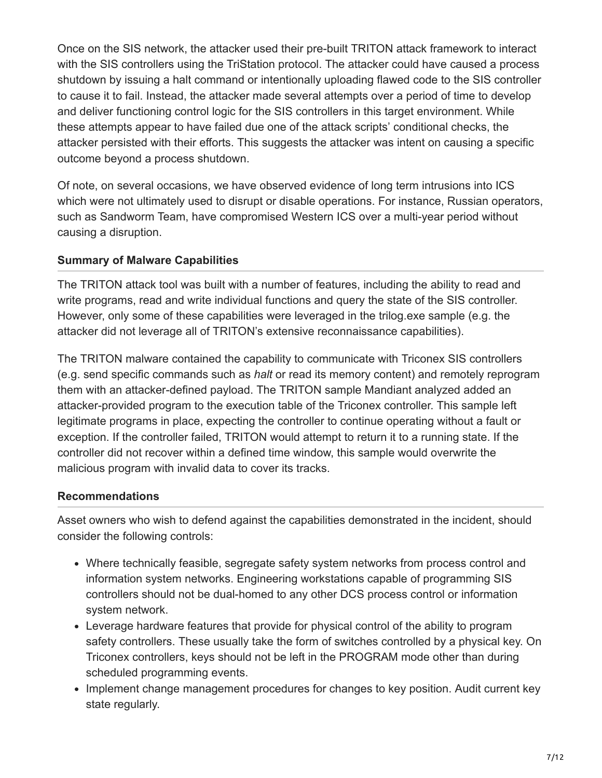Once on the SIS network, the attacker used their pre-built TRITON attack framework to interact with the SIS controllers using the TriStation protocol. The attacker could have caused a process shutdown by issuing a halt command or intentionally uploading flawed code to the SIS controller to cause it to fail. Instead, the attacker made several attempts over a period of time to develop and deliver functioning control logic for the SIS controllers in this target environment. While these attempts appear to have failed due one of the attack scripts' conditional checks, the attacker persisted with their efforts. This suggests the attacker was intent on causing a specific outcome beyond a process shutdown.

Of note, on several occasions, we have observed evidence of long term intrusions into ICS which were not ultimately used to disrupt or disable operations. For instance, Russian operators, such as Sandworm Team, have compromised Western ICS over a multi-year period without causing a disruption.

#### **Summary of Malware Capabilities**

The TRITON attack tool was built with a number of features, including the ability to read and write programs, read and write individual functions and query the state of the SIS controller. However, only some of these capabilities were leveraged in the trilog.exe sample (e.g. the attacker did not leverage all of TRITON's extensive reconnaissance capabilities).

The TRITON malware contained the capability to communicate with Triconex SIS controllers (e.g. send specific commands such as *halt* or read its memory content) and remotely reprogram them with an attacker-defined payload. The TRITON sample Mandiant analyzed added an attacker-provided program to the execution table of the Triconex controller. This sample left legitimate programs in place, expecting the controller to continue operating without a fault or exception. If the controller failed, TRITON would attempt to return it to a running state. If the controller did not recover within a defined time window, this sample would overwrite the malicious program with invalid data to cover its tracks.

## **Recommendations**

Asset owners who wish to defend against the capabilities demonstrated in the incident, should consider the following controls:

- Where technically feasible, segregate safety system networks from process control and information system networks. Engineering workstations capable of programming SIS controllers should not be dual-homed to any other DCS process control or information system network.
- Leverage hardware features that provide for physical control of the ability to program safety controllers. These usually take the form of switches controlled by a physical key. On Triconex controllers, keys should not be left in the PROGRAM mode other than during scheduled programming events.
- Implement change management procedures for changes to key position. Audit current key state regularly.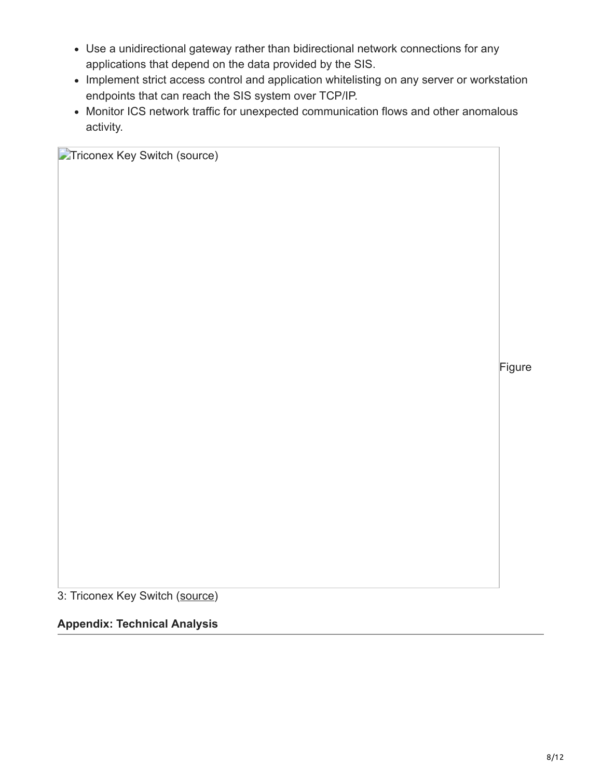- Use a unidirectional gateway rather than bidirectional network connections for any applications that depend on the data provided by the SIS.
- Implement strict access control and application whitelisting on any server or workstation endpoints that can reach the SIS system over TCP/IP.
- Monitor ICS network traffic for unexpected communication flows and other anomalous activity.

**Triconex Key Switch (source)** 

Figure

3: Triconex Key Switch [\(source\)](https://images-na.ssl-images-amazon.com/images/I/41jr93jKzML._SX466_.jpg)

#### **Appendix: Technical Analysis**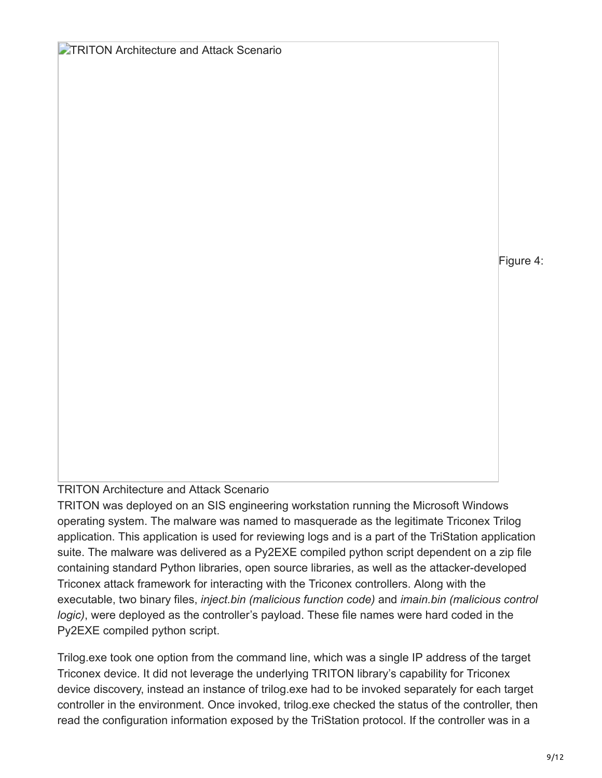**TRITON Architecture and Attack Scenario** 

Figure 4:

## TRITON Architecture and Attack Scenario

TRITON was deployed on an SIS engineering workstation running the Microsoft Windows operating system. The malware was named to masquerade as the legitimate Triconex Trilog application. This application is used for reviewing logs and is a part of the TriStation application suite. The malware was delivered as a Py2EXE compiled python script dependent on a zip file containing standard Python libraries, open source libraries, as well as the attacker-developed Triconex attack framework for interacting with the Triconex controllers. Along with the executable, two binary files, *inject.bin (malicious function code)* and *imain.bin (malicious control logic)*, were deployed as the controller's payload. These file names were hard coded in the Py2EXE compiled python script.

Trilog.exe took one option from the command line, which was a single IP address of the target Triconex device. It did not leverage the underlying TRITON library's capability for Triconex device discovery, instead an instance of trilog.exe had to be invoked separately for each target controller in the environment. Once invoked, trilog.exe checked the status of the controller, then read the configuration information exposed by the TriStation protocol. If the controller was in a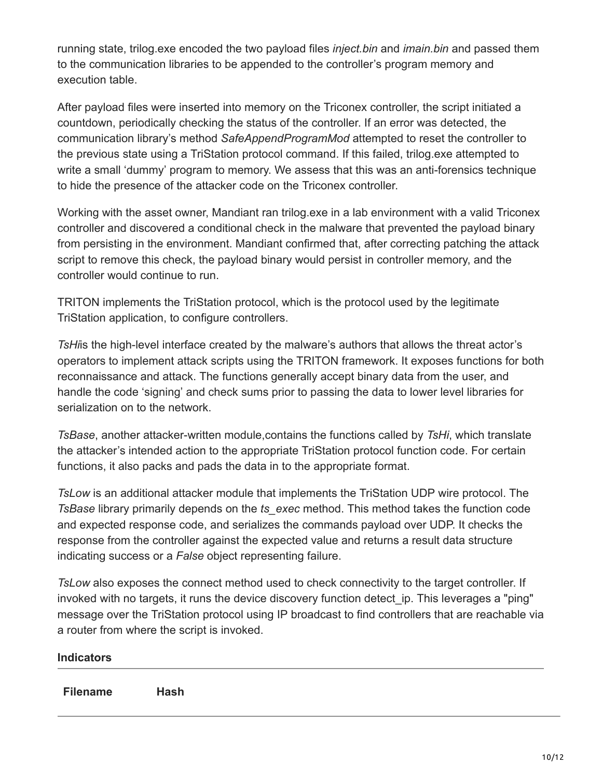running state, trilog.exe encoded the two payload files *inject.bin* and *imain.bin* and passed them to the communication libraries to be appended to the controller's program memory and execution table.

After payload files were inserted into memory on the Triconex controller, the script initiated a countdown, periodically checking the status of the controller. If an error was detected, the communication library's method *SafeAppendProgramMod* attempted to reset the controller to the previous state using a TriStation protocol command. If this failed, trilog.exe attempted to write a small 'dummy' program to memory. We assess that this was an anti-forensics technique to hide the presence of the attacker code on the Triconex controller.

Working with the asset owner, Mandiant ran trilog.exe in a lab environment with a valid Triconex controller and discovered a conditional check in the malware that prevented the payload binary from persisting in the environment. Mandiant confirmed that, after correcting patching the attack script to remove this check, the payload binary would persist in controller memory, and the controller would continue to run.

TRITON implements the TriStation protocol, which is the protocol used by the legitimate TriStation application, to configure controllers.

*TsHi*is the high-level interface created by the malware's authors that allows the threat actor's operators to implement attack scripts using the TRITON framework. It exposes functions for both reconnaissance and attack. The functions generally accept binary data from the user, and handle the code 'signing' and check sums prior to passing the data to lower level libraries for serialization on to the network.

*TsBase*, another attacker-written module,contains the functions called by *TsHi*, which translate the attacker's intended action to the appropriate TriStation protocol function code. For certain functions, it also packs and pads the data in to the appropriate format.

*TsLow* is an additional attacker module that implements the TriStation UDP wire protocol. The *TsBase* library primarily depends on the *ts\_exec* method. This method takes the function code and expected response code, and serializes the commands payload over UDP. It checks the response from the controller against the expected value and returns a result data structure indicating success or a *False* object representing failure.

*TsLow* also exposes the connect method used to check connectivity to the target controller. If invoked with no targets, it runs the device discovery function detect ip. This leverages a "ping" message over the TriStation protocol using IP broadcast to find controllers that are reachable via a router from where the script is invoked.

| <b>Indicators</b> |      |  |  |  |  |  |
|-------------------|------|--|--|--|--|--|
| <b>Filename</b>   | Hash |  |  |  |  |  |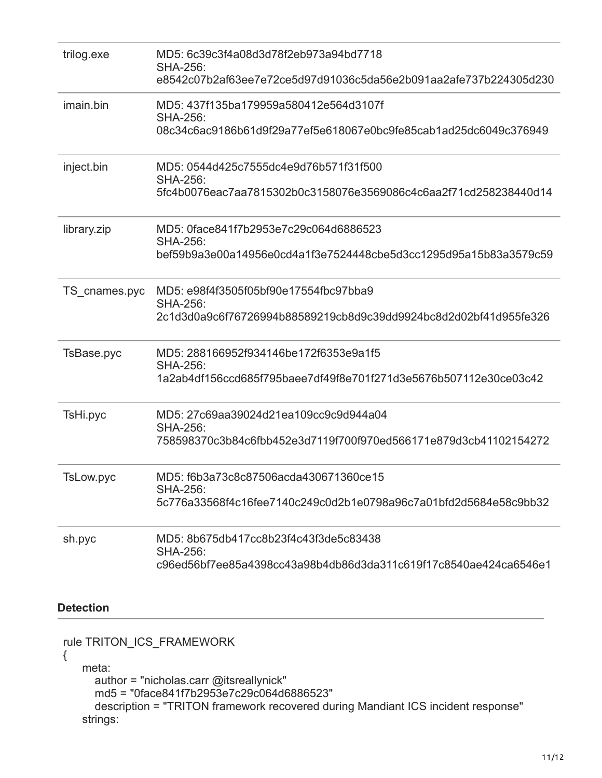| trilog.exe                | MD5: 6c39c3f4a08d3d78f2eb973a94bd7718<br><b>SHA-256:</b>         |
|---------------------------|------------------------------------------------------------------|
|                           | e8542c07b2af63ee7e72ce5d97d91036c5da56e2b091aa2afe737b224305d230 |
| imain.bin                 | MD5: 437f135ba179959a580412e564d3107f<br><b>SHA-256:</b>         |
|                           | 08c34c6ac9186b61d9f29a77ef5e618067e0bc9fe85cab1ad25dc6049c376949 |
| inject.bin                | MD5: 0544d425c7555dc4e9d76b571f31f500<br><b>SHA-256:</b>         |
|                           | 5fc4b0076eac7aa7815302b0c3158076e3569086c4c6aa2f71cd258238440d14 |
| library.zip               | MD5: 0face841f7b2953e7c29c064d6886523<br><b>SHA-256:</b>         |
|                           | bef59b9a3e00a14956e0cd4a1f3e7524448cbe5d3cc1295d95a15b83a3579c59 |
| TS_cnames.pyc             | MD5: e98f4f3505f05bf90e17554fbc97bba9<br><b>SHA-256:</b>         |
|                           | 2c1d3d0a9c6f76726994b88589219cb8d9c39dd9924bc8d2d02bf41d955fe326 |
| TsBase.pyc                | MD5: 288166952f934146be172f6353e9a1f5<br><b>SHA-256:</b>         |
|                           | 1a2ab4df156ccd685f795baee7df49f8e701f271d3e5676b507112e30ce03c42 |
| TsHi.pyc                  | MD5: 27c69aa39024d21ea109cc9c9d944a04<br><b>SHA-256:</b>         |
|                           | 758598370c3b84c6fbb452e3d7119f700f970ed566171e879d3cb41102154272 |
| TsLow.pyc                 | MD5: f6b3a73c8c87506acda430671360ce15<br><b>SHA-256:</b>         |
|                           | 5c776a33568f4c16fee7140c249c0d2b1e0798a96c7a01bfd2d5684e58c9bb32 |
| sh.pyc                    | MD5: 8b675db417cc8b23f4c43f3de5c83438<br><b>SHA-256:</b>         |
|                           | c96ed56bf7ee85a4398cc43a98b4db86d3da311c619f17c8540ae424ca6546e1 |
| <b>Detection</b>          |                                                                  |
| rule TRITON_ICS_FRAMEWORK |                                                                  |
| mata                      |                                                                  |

```
 meta:
author = "nicholas.carr @itsreallynick"
md5 = "0face841f7b2953e7c29c064d6886523"
description = "TRITON framework recovered during Mandiant ICS incident response"
  strings:
```